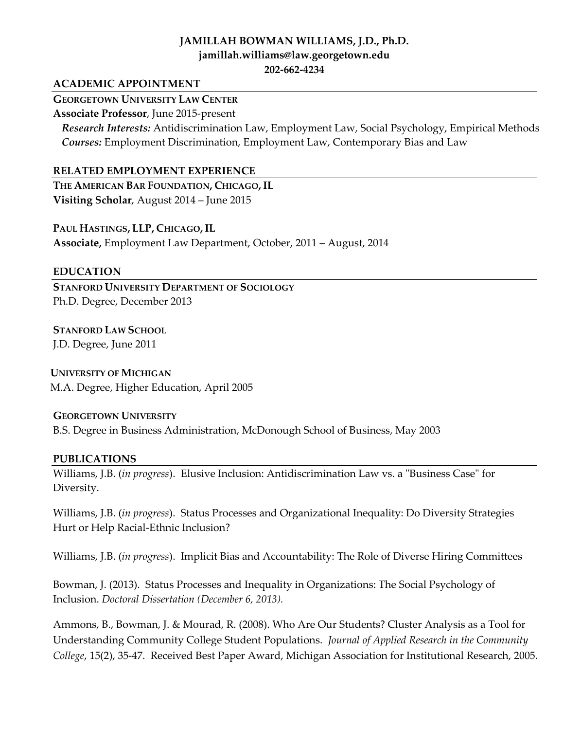## **JAMILLAH BOWMAN WILLIAMS, J.D., Ph.D. jamillah.williams@law.georgetown.edu 202-662-4234**

#### **ACADEMIC APPOINTMENT**

**GEORGETOWN UNIVERSITY LAW CENTER**

**Associate Professor**, June 2015-present

*Research Interests:* Antidiscrimination Law, Employment Law, Social Psychology, Empirical Methods *Courses:* Employment Discrimination, Employment Law, Contemporary Bias and Law

#### **RELATED EMPLOYMENT EXPERIENCE**

**THE AMERICAN BAR FOUNDATION, CHICAGO, IL Visiting Scholar**, August 2014 – June 2015

**PAUL HASTINGS, LLP, CHICAGO, IL Associate,** Employment Law Department, October, 2011 – August, 2014

#### **EDUCATION**

**STANFORD UNIVERSITY DEPARTMENT OF SOCIOLOGY** Ph.D. Degree, December 2013

**STANFORD LAW SCHOOL** J.D. Degree, June 2011

**UNIVERSITY OF MICHIGAN** M.A. Degree, Higher Education, April 2005

**GEORGETOWN UNIVERSITY** B.S. Degree in Business Administration, McDonough School of Business, May 2003

#### **PUBLICATIONS**

Williams, J.B. (*in progress*). Elusive Inclusion: Antidiscrimination Law vs. a "Business Case" for Diversity.

Williams, J.B. (*in progress*). Status Processes and Organizational Inequality: Do Diversity Strategies Hurt or Help Racial-Ethnic Inclusion?

Williams, J.B. (*in progress*). Implicit Bias and Accountability: The Role of Diverse Hiring Committees

Bowman, J. (2013). Status Processes and Inequality in Organizations: The Social Psychology of Inclusion. *Doctoral Dissertation (December 6, 2013).*

Ammons, B., Bowman, J. & Mourad, R. (2008). Who Are Our Students? Cluster Analysis as a Tool for Understanding Community College Student Populations. *Journal of Applied Research in the Community College*, 15(2), 35-47. Received Best Paper Award, Michigan Association for Institutional Research, 2005.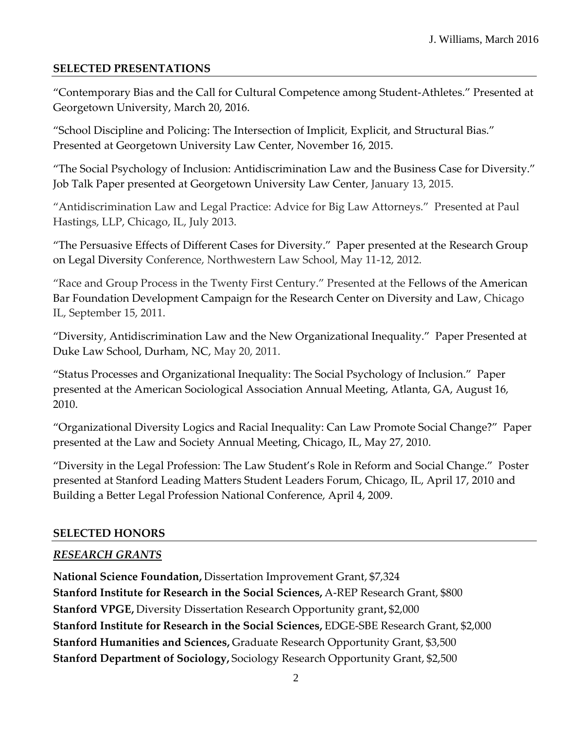## **SELECTED PRESENTATIONS**

"Contemporary Bias and the Call for Cultural Competence among Student-Athletes." Presented at Georgetown University, March 20, 2016.

"School Discipline and Policing: The Intersection of Implicit, Explicit, and Structural Bias." Presented at Georgetown University Law Center, November 16, 2015.

"The Social Psychology of Inclusion: Antidiscrimination Law and the Business Case for Diversity." Job Talk Paper presented at Georgetown University Law Center, January 13, 2015.

"Antidiscrimination Law and Legal Practice: Advice for Big Law Attorneys." Presented at Paul Hastings, LLP, Chicago, IL, July 2013.

"The Persuasive Effects of Different Cases for Diversity." Paper presented at the Research Group on Legal Diversity Conference, Northwestern Law School, May 11-12, 2012.

"Race and Group Process in the Twenty First Century." Presented at the Fellows of the American Bar Foundation Development Campaign for the Research Center on Diversity and Law, Chicago IL, September 15, 2011.

"Diversity, Antidiscrimination Law and the New Organizational Inequality." Paper Presented at Duke Law School, Durham, NC, May 20, 2011.

"Status Processes and Organizational Inequality: The Social Psychology of Inclusion." Paper presented at the American Sociological Association Annual Meeting, Atlanta, GA, August 16, 2010.

"Organizational Diversity Logics and Racial Inequality: Can Law Promote Social Change?" Paper presented at the Law and Society Annual Meeting, Chicago, IL, May 27, 2010.

"Diversity in the Legal Profession: The Law Student's Role in Reform and Social Change." Poster presented at Stanford Leading Matters Student Leaders Forum, Chicago, IL, April 17, 2010 and Building a Better Legal Profession National Conference, April 4, 2009.

### **SELECTED HONORS**

### *RESEARCH GRANTS*

**National Science Foundation,** Dissertation Improvement Grant, \$7,324 **Stanford Institute for Research in the Social Sciences,** A-REP Research Grant, \$800 **Stanford VPGE,** Diversity Dissertation Research Opportunity grant**,** \$2,000 **Stanford Institute for Research in the Social Sciences,** EDGE-SBE Research Grant, \$2,000 **Stanford Humanities and Sciences,** Graduate Research Opportunity Grant, \$3,500 **Stanford Department of Sociology,** Sociology Research Opportunity Grant, \$2,500